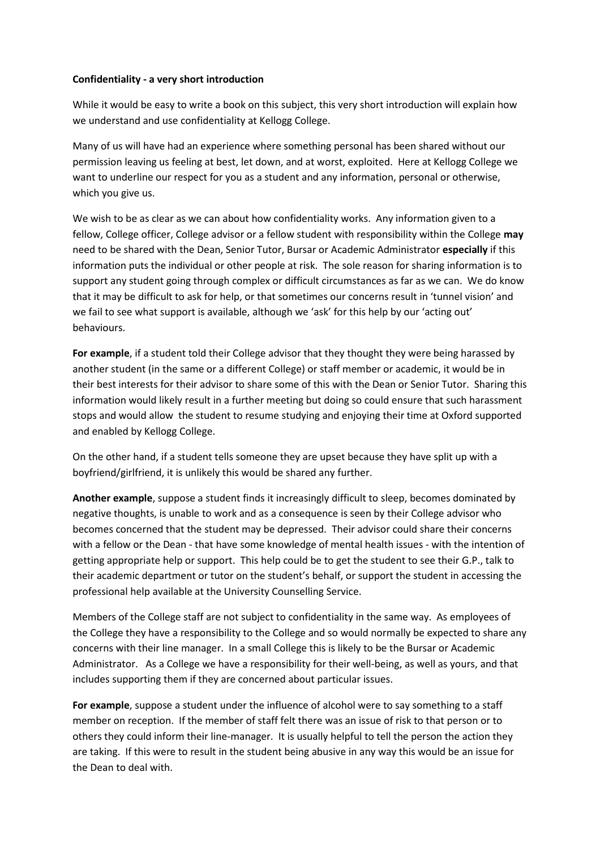## **Confidentiality - a very short introduction**

While it would be easy to write a book on this subject, this very short introduction will explain how we understand and use confidentiality at Kellogg College.

Many of us will have had an experience where something personal has been shared without our permission leaving us feeling at best, let down, and at worst, exploited. Here at Kellogg College we want to underline our respect for you as a student and any information, personal or otherwise, which you give us.

We wish to be as clear as we can about how confidentiality works. Any information given to a fellow, College officer, College advisor or a fellow student with responsibility within the College **may** need to be shared with the Dean, Senior Tutor, Bursar or Academic Administrator **especially** if this information puts the individual or other people at risk. The sole reason for sharing information is to support any student going through complex or difficult circumstances as far as we can. We do know that it may be difficult to ask for help, or that sometimes our concerns result in 'tunnel vision' and we fail to see what support is available, although we 'ask' for this help by our 'acting out' behaviours.

**For example**, if a student told their College advisor that they thought they were being harassed by another student (in the same or a different College) or staff member or academic, it would be in their best interests for their advisor to share some of this with the Dean or Senior Tutor. Sharing this information would likely result in a further meeting but doing so could ensure that such harassment stops and would allow the student to resume studying and enjoying their time at Oxford supported and enabled by Kellogg College.

On the other hand, if a student tells someone they are upset because they have split up with a boyfriend/girlfriend, it is unlikely this would be shared any further.

**Another example**, suppose a student finds it increasingly difficult to sleep, becomes dominated by negative thoughts, is unable to work and as a consequence is seen by their College advisor who becomes concerned that the student may be depressed. Their advisor could share their concerns with a fellow or the Dean - that have some knowledge of mental health issues - with the intention of getting appropriate help or support. This help could be to get the student to see their G.P., talk to their academic department or tutor on the student's behalf, or support the student in accessing the professional help available at the University Counselling Service.

Members of the College staff are not subject to confidentiality in the same way. As employees of the College they have a responsibility to the College and so would normally be expected to share any concerns with their line manager. In a small College this is likely to be the Bursar or Academic Administrator. As a College we have a responsibility for their well-being, as well as yours, and that includes supporting them if they are concerned about particular issues.

**For example**, suppose a student under the influence of alcohol were to say something to a staff member on reception. If the member of staff felt there was an issue of risk to that person or to others they could inform their line-manager. It is usually helpful to tell the person the action they are taking. If this were to result in the student being abusive in any way this would be an issue for the Dean to deal with.